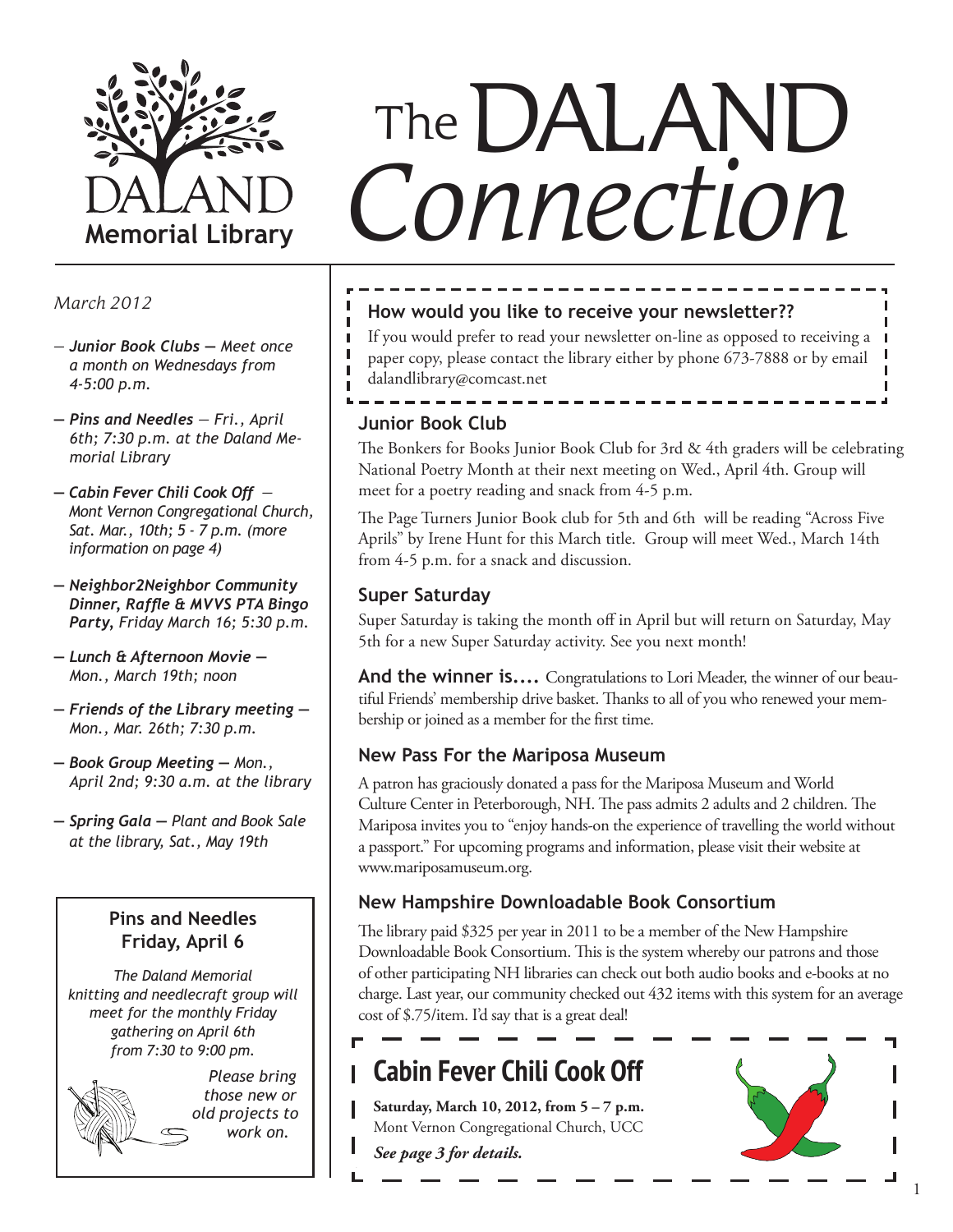

- *Junior Book Clubs Meet once a month on Wednesdays from 4-5:00 p.m.*
- *Pins and Needles Fri., April 6th; 7:30 p.m. at the Daland Memorial Library*
- *Cabin Fever Chili Cook Off Mont Vernon Congregational Church, Sat. Mar., 10th; 5 - 7 p.m. (more information on page 4)*
- *Neighbor2Neighbor Community Dinner, Raffle & MVVS PTA Bingo Party, Friday March 16; 5:30 p.m.*
- *Lunch & Afternoon Movie Mon., March 19th; noon*
- *Friends of the Library meeting Mon., Mar. 26th; 7:30 p.m.*
- *Book Group Meeting Mon., April 2nd; 9:30 a.m. at the library*
- *Spring Gala Plant and Book Sale at the library, Sat., May 19th*

#### **Pins and Needles Friday, April 6**

*The Daland Memorial knitting and needlecraft group will meet for the monthly Friday gathering on April 6th from 7:30 to 9:00 pm.* 

> *Please bring those new or old projects to work on.*

# *Connection* The DALAND

#### *March 2012* **How would you like to receive your newsletter??**

If you would prefer to read your newsletter on-line as opposed to receiving a paper copy, please contact the library either by phone 673-7888 or by email dalandlibrary@comcast.net

#### **Junior Book Club**

The Bonkers for Books Junior Book Club for 3rd & 4th graders will be celebrating National Poetry Month at their next meeting on Wed., April 4th. Group will meet for a poetry reading and snack from 4-5 p.m.

The Page Turners Junior Book club for 5th and 6th will be reading "Across Five Aprils" by Irene Hunt for this March title. Group will meet Wed., March 14th from 4-5 p.m. for a snack and discussion.

#### **Super Saturday**

Super Saturday is taking the month off in April but will return on Saturday, May 5th for a new Super Saturday activity. See you next month!

**And the winner is....** Congratulations to Lori Meader, the winner of our beautiful Friends' membership drive basket. Thanks to all of you who renewed your membership or joined as a member for the first time.

#### **New Pass For the Mariposa Museum**

A patron has graciously donated a pass for the Mariposa Museum and World Culture Center in Peterborough, NH. The pass admits 2 adults and 2 children. The Mariposa invites you to "enjoy hands-on the experience of travelling the world without a passport." For upcoming programs and information, please visit their website at www.mariposamuseum.org.

#### **New Hampshire Downloadable Book Consortium**

The library paid \$325 per year in 2011 to be a member of the New Hampshire Downloadable Book Consortium. This is the system whereby our patrons and those of other participating NH libraries can check out both audio books and e-books at no charge. Last year, our community checked out 432 items with this system for an average cost of \$.75/item. I'd say that is a great deal!

## **Cabin Fever Chili Cook Off**

**Saturday, March 10, 2012, from 5 – 7 p.m.** Mont Vernon Congregational Church, UCC *See page 3 for details.*

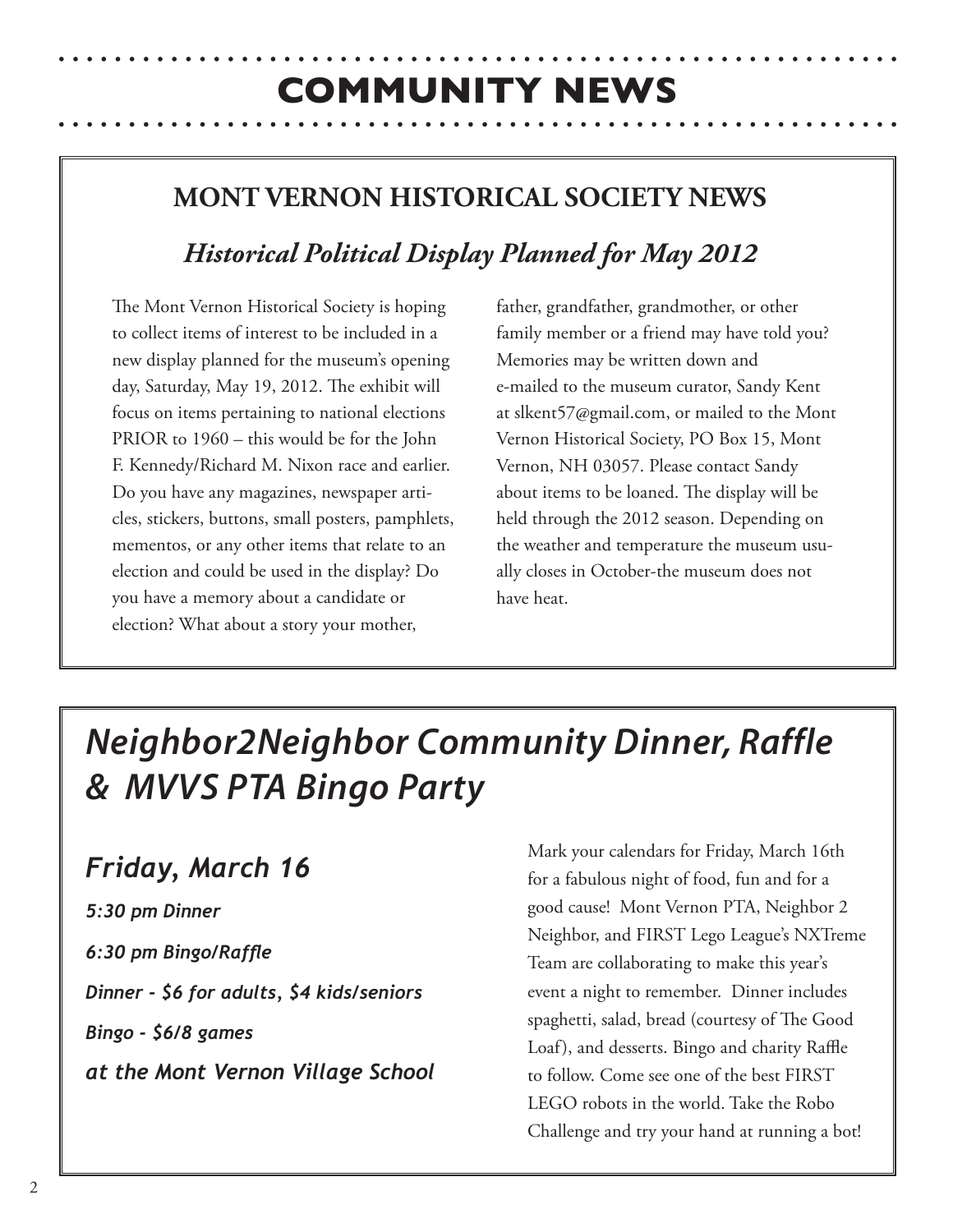## **COMMUNITY NEWS**

## **MONT VERNON HISTORICAL SOCIETY NEWS**

## *Historical Political Display Planned for May 2012*

The Mont Vernon Historical Society is hoping to collect items of interest to be included in a new display planned for the museum's opening day, Saturday, May 19, 2012. The exhibit will focus on items pertaining to national elections PRIOR to 1960 – this would be for the John F. Kennedy/Richard M. Nixon race and earlier. Do you have any magazines, newspaper articles, stickers, buttons, small posters, pamphlets, mementos, or any other items that relate to an election and could be used in the display? Do you have a memory about a candidate or election? What about a story your mother,

father, grandfather, grandmother, or other family member or a friend may have told you? Memories may be written down and e-mailed to the museum curator, Sandy Kent at slkent57@gmail.com, or mailed to the Mont Vernon Historical Society, PO Box 15, Mont Vernon, NH 03057. Please contact Sandy about items to be loaned. The display will be held through the 2012 season. Depending on the weather and temperature the museum usually closes in October-the museum does not have heat.

## *Neighbor2Neighbor Community Dinner, Raffle & MVVS PTA Bingo Party*

## *Friday, March 16*

*5:30 pm Dinner 6:30 pm Bingo/Raffle Dinner - \$6 for adults, \$4 kids/seniors Bingo - \$6/8 games at the Mont Vernon Village School* Mark your calendars for Friday, March 16th for a fabulous night of food, fun and for a good cause! Mont Vernon PTA, Neighbor 2 Neighbor, and FIRST Lego League's NXTreme Team are collaborating to make this year's event a night to remember. Dinner includes spaghetti, salad, bread (courtesy of The Good Loaf), and desserts. Bingo and charity Raffle to follow. Come see one of the best FIRST LEGO robots in the world. Take the Robo Challenge and try your hand at running a bot!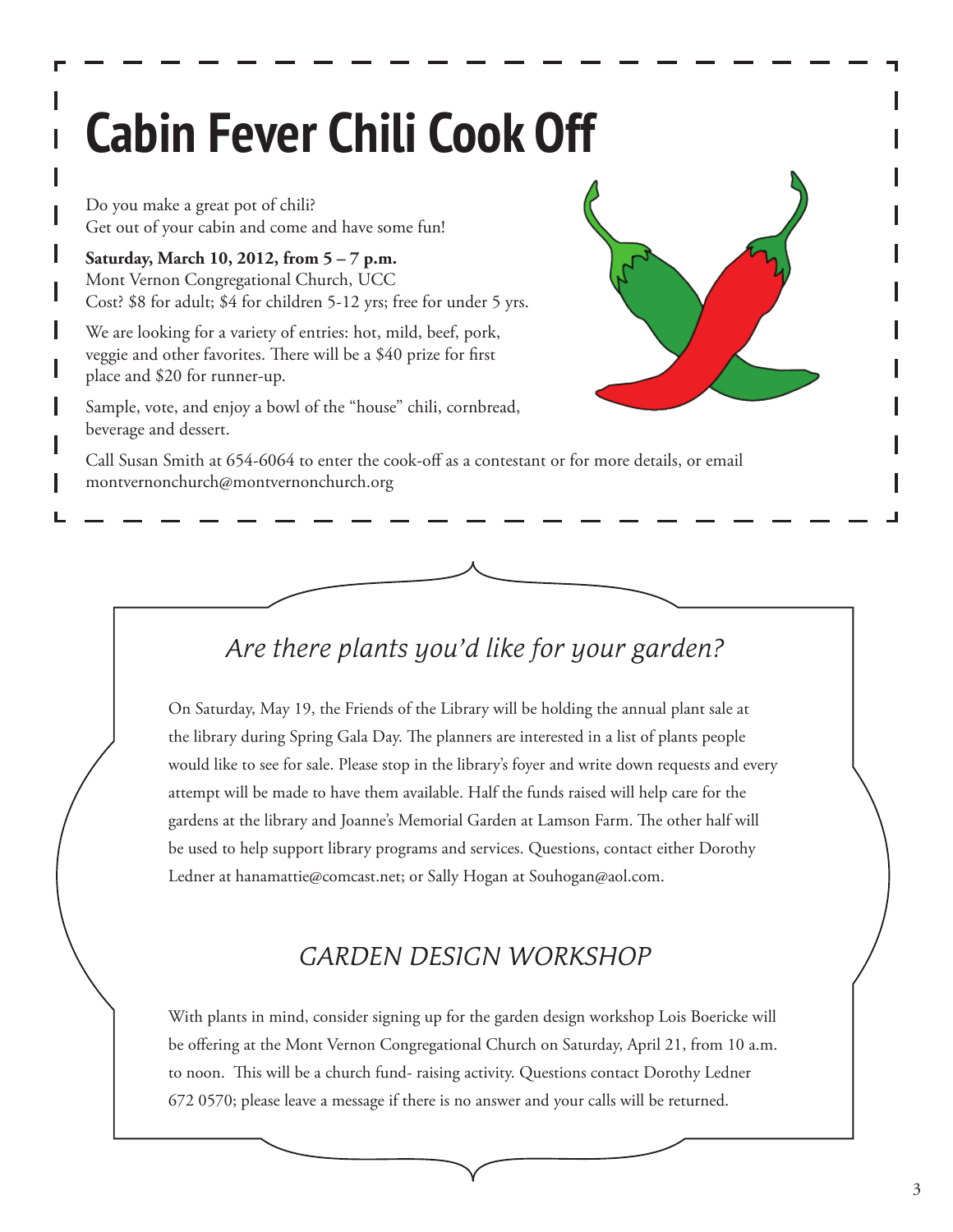# **Cabin Fever Chili Cook Off**

Do you make a great pot of chili? Get out of your cabin and come and have some fun!

**Saturday, March 10, 2012, from 5 – 7 p.m.** Mont Vernon Congregational Church, UCC Cost? \$8 for adult; \$4 for children 5-12 yrs; free for under 5 yrs.

We are looking for a variety of entries: hot, mild, beef, pork, veggie and other favorites. There will be a \$40 prize for first place and \$20 for runner-up.

Sample, vote, and enjoy a bowl of the "house" chili, cornbread, beverage and dessert.



Call Susan Smith at 654-6064 to enter the cook-off as a contestant or for more details, or email montvernonchurch@montvernonchurch.org

## *Are there plants you'd like for your garden?*

On Saturday, May 19, the Friends of the Library will be holding the annual plant sale at the library during Spring Gala Day. The planners are interested in a list of plants people would like to see for sale. Please stop in the library's foyer and write down requests and every attempt will be made to have them available. Half the funds raised will help care for the gardens at the library and Joanne's Memorial Garden at Lamson Farm. The other half will be used to help support library programs and services. Questions, contact either Dorothy Ledner at hanamattie@comcast.net; or Sally Hogan at Souhogan@aol.com.

## *GARDEN DESIGN WORKSHOP*

With plants in mind, consider signing up for the garden design workshop Lois Boericke will be offering at the Mont Vernon Congregational Church on Saturday, April 21, from 10 a.m. to noon. This will be a church fund- raising activity. Questions contact Dorothy Ledner 672 0570; please leave a message if there is no answer and your calls will be returned.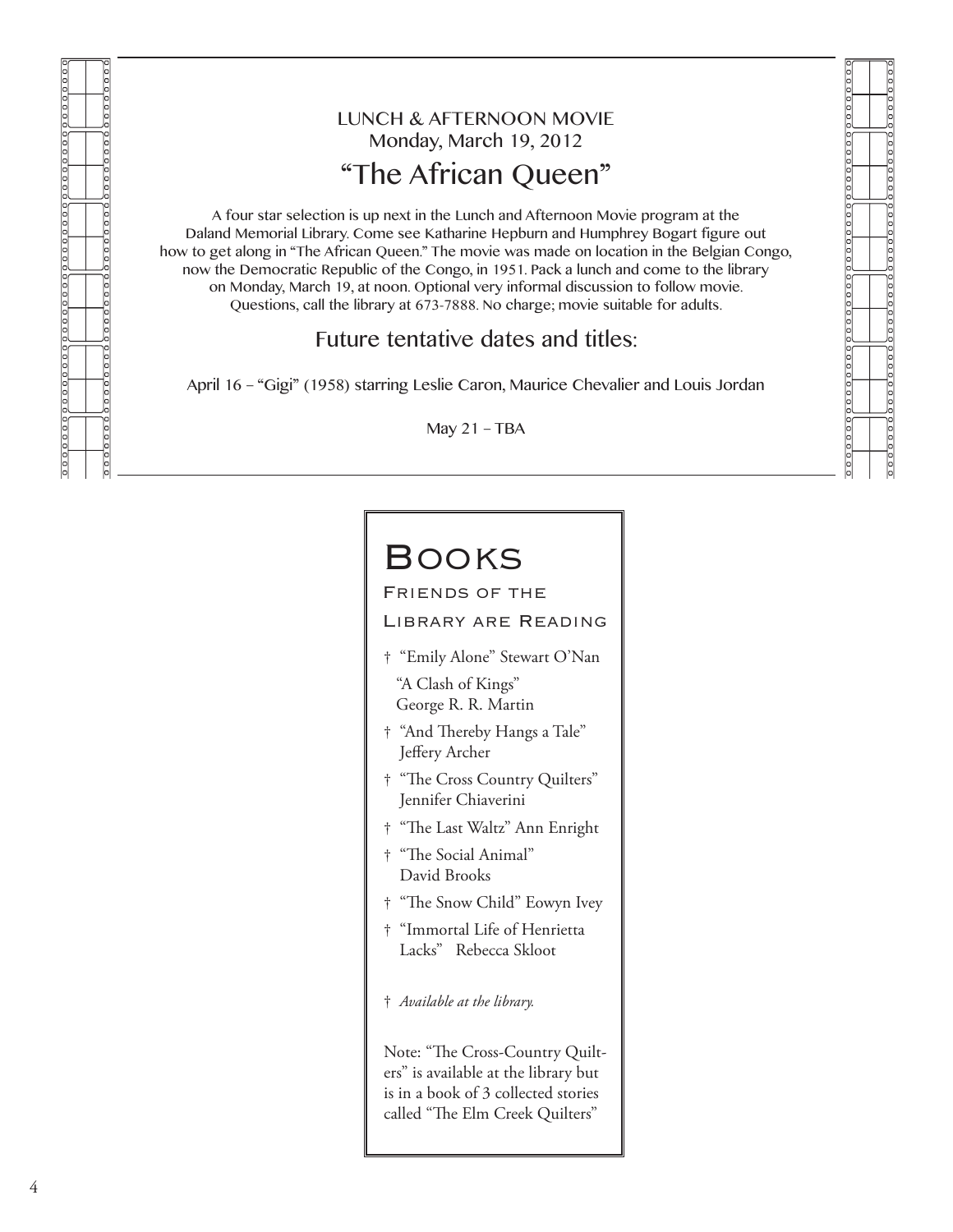000000 le o o popopo

### LUNCH & AFTERNOON MOVIE Monday, March 19, 2012 "The African Queen"

<u>poopoog</u>

 $0000000$ 

A four star selection is up next in the Lunch and Afternoon Movie program at the Daland Memorial Library. Come see Katharine Hepburn and Humphrey Bogart figure out how to get along in "The African Queen." The movie was made on location in the Belgian Congo, now the Democratic Republic of the Congo, in 1951. Pack a lunch and come to the library on Monday, March 19, at noon. Optional very informal discussion to follow movie. Questions, call the library at 673-7888. No charge; movie suitable for adults.

#### Future tentative dates and titles:

April 16 – "Gigi" (1958) starring Leslie Caron, Maurice Chevalier and Louis Jordan

May 21 – TBA

## **BOOKS**

Friends of the

LIBRARY ARE READING

- † "Emily Alone" Stewart O'Nan "A Clash of Kings" George R. R. Martin
- † "And Thereby Hangs a Tale" Jeffery Archer
- † "The Cross Country Quilters" Jennifer Chiaverini
- † "The Last Waltz" Ann Enright
- † "The Social Animal" David Brooks
- † "The Snow Child" Eowyn Ivey
- † "Immortal Life of Henrietta Lacks" Rebecca Skloot
- † *Available at the library.*

Note: "The Cross-Country Quilters" is available at the library but is in a book of 3 collected stories called "The Elm Creek Quilters"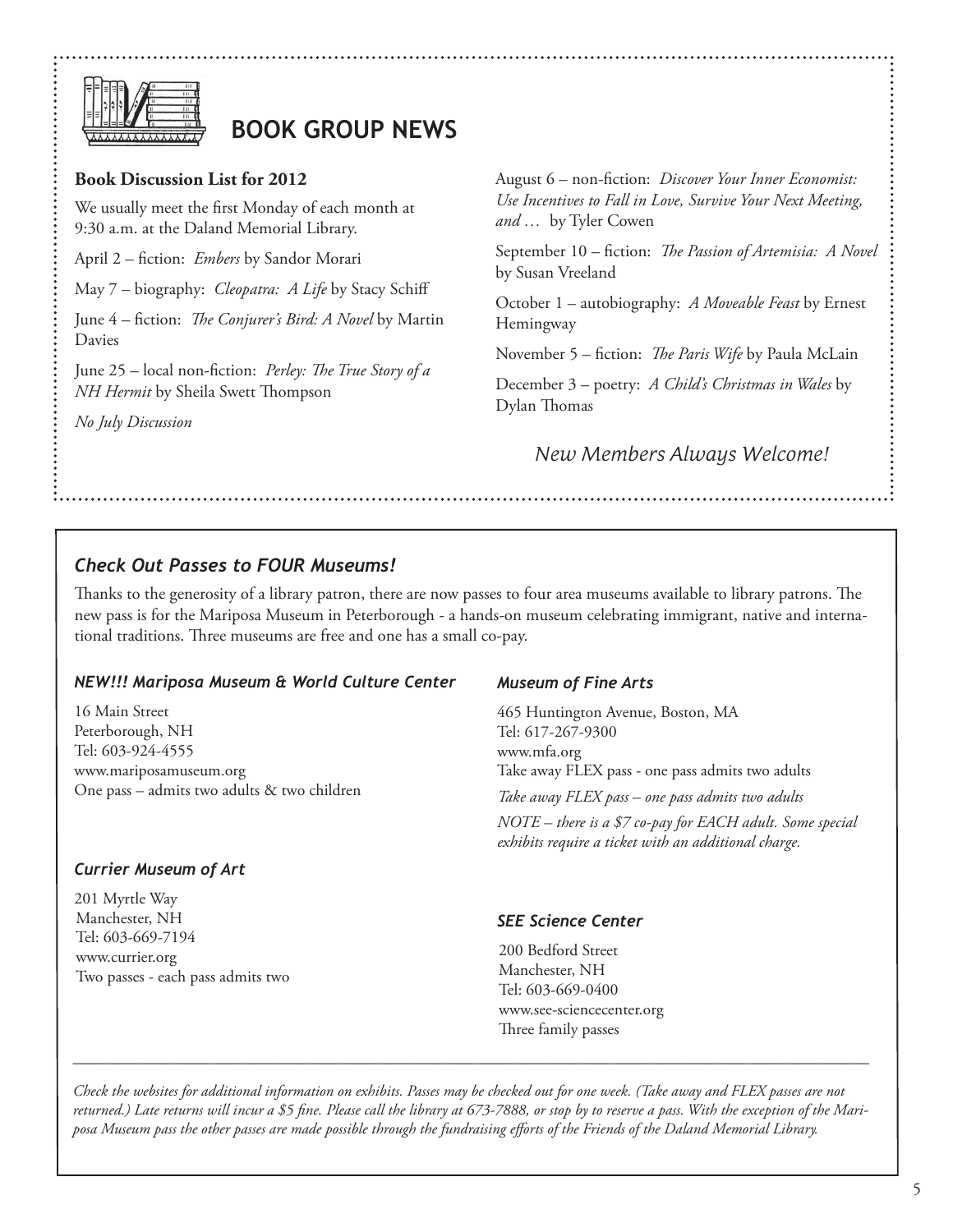

## **BOOK GROUP NEWS**

#### **Book Discussion List for 2012**

We usually meet the first Monday of each month at 9:30 a.m. at the Daland Memorial Library.

April 2 – fiction: *Embers* by Sandor Morari

May 7 – biography: *Cleopatra: A Life* by Stacy Schiff

June 4 – fiction: *The Conjurer's Bird: A Novel* by Martin Davies

June 25 – local non-fiction: *Perley: The True Story of a NH Hermit* by Sheila Swett Thompson

*No July Discussion*

August 6 – non-fiction: *Discover Your Inner Economist: Use Incentives to Fall in Love, Survive Your Next Meeting, and …* by Tyler Cowen

September 10 – fiction: *The Passion of Artemisia: A Novel* by Susan Vreeland

October 1 – autobiography: *A Moveable Feast* by Ernest Hemingway

November 5 – fiction: *The Paris Wife* by Paula McLain

December 3 – poetry: *A Child's Christmas in Wales* by Dylan Thomas

*New Members Always Welcome!*

#### *Check Out Passes to FOUR Museums!*

Thanks to the generosity of a library patron, there are now passes to four area museums available to library patrons. The new pass is for the Mariposa Museum in Peterborough - a hands-on museum celebrating immigrant, native and international traditions. Three museums are free and one has a small co-pay.

#### *NEW!!! Mariposa Museum & World Culture Center*

16 Main Street Peterborough, NH Tel: 603-924-4555 www.mariposamuseum.org One pass – admits two adults & two children

#### *Currier Museum of Art*

201 Myrtle Way Manchester, NH Tel: 603-669-7194 www.currier.org Two passes - each pass admits two

#### *Museum of Fine Arts*

465 Huntington Avenue, Boston, MA Tel: 617-267-9300 www.mfa.org Take away FLEX pass - one pass admits two adults *Take away FLEX pass – one pass admits two adults NOTE – there is a \$7 co-pay for EACH adult. Some special exhibits require a ticket with an additional charge.*

#### *SEE Science Center*

200 Bedford Street Manchester, NH Tel: 603-669-0400 www.see-sciencecenter.org Three family passes

*Check the websites for additional information on exhibits. Passes may be checked out for one week. (Take away and FLEX passes are not returned.) Late returns will incur a \$5 fine. Please call the library at 673-7888, or stop by to reserve a pass. With the exception of the Mariposa Museum pass the other passes are made possible through the fundraising efforts of the Friends of the Daland Memorial Library.*

\_\_\_\_\_\_\_\_\_\_\_\_\_\_\_\_\_\_\_\_\_\_\_\_\_\_\_\_\_\_\_\_\_\_\_\_\_\_\_\_\_\_\_\_\_\_\_\_\_\_\_\_\_\_\_\_\_\_\_\_\_\_\_\_\_\_\_\_\_\_\_\_\_\_\_\_\_\_\_\_\_\_\_\_\_\_\_\_\_\_\_\_\_\_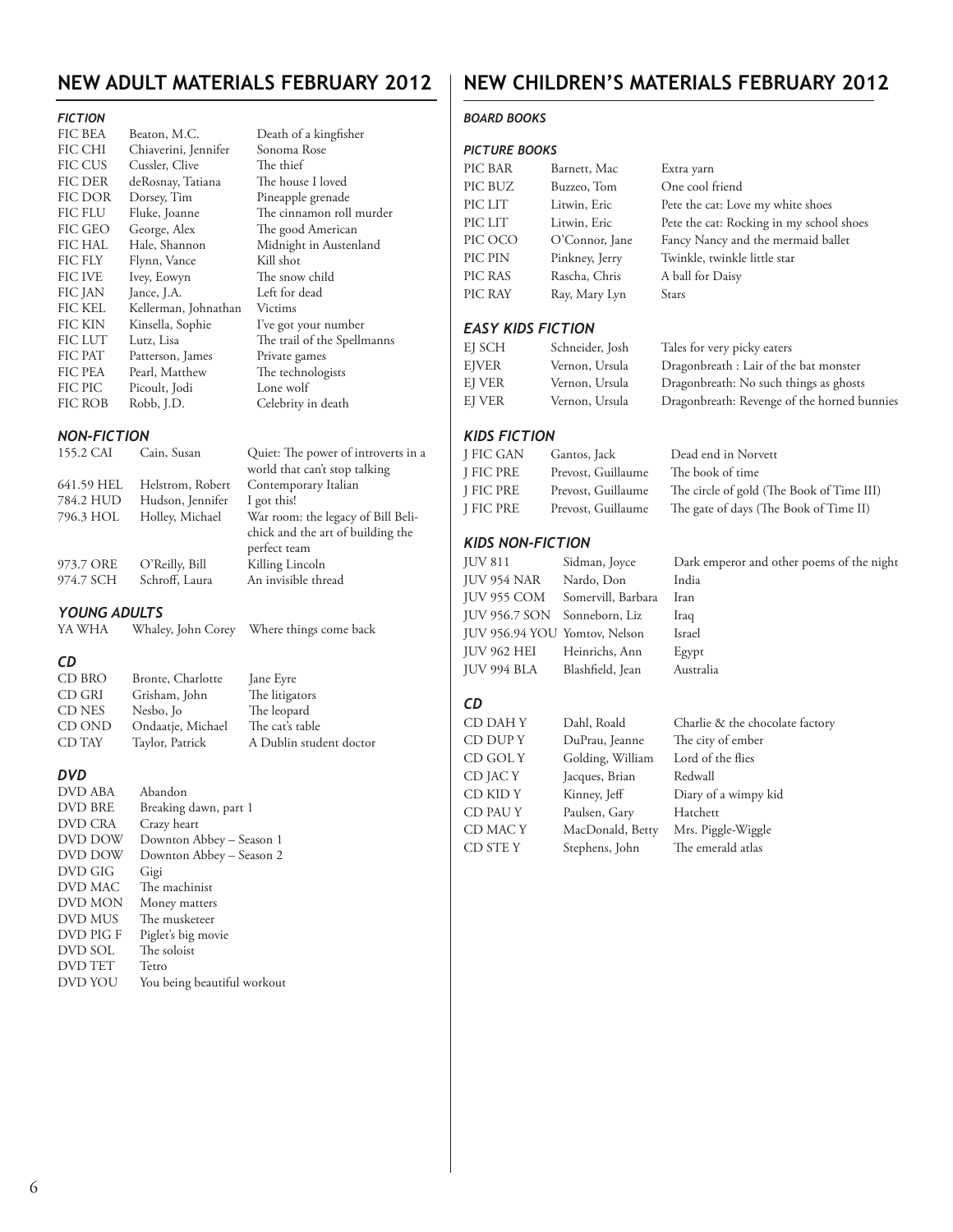#### **NEW ADULT MATERIALS FEBRUARY 2012**

Death of a kingfisher

#### *FICTION*

| FIC BEA        | Beaton, M.C.         |
|----------------|----------------------|
| <b>FIC CHI</b> | Chiaverini, Jennifer |
| <b>FIC CUS</b> | Cussler, Clive       |
| <b>FIC DER</b> | deRosnay, Tatiana    |
| FIC DOR        | Dorsey, Tim          |
| <b>FIC FLU</b> | Fluke, Joanne        |
| FIC GEO        | George, Alex         |
| <b>FIC HAL</b> | Hale, Shannon        |
| FIC FLY        | Flynn, Vance         |
| <b>FIC IVE</b> | Ivey, Eowyn          |
| FIC JAN        | Jance, J.A.          |
| <b>FIC KEL</b> | Kellerman, Johnathan |
| FIC KIN        | Kinsella, Sophie     |
| <b>FIC LUT</b> | Lutz, Lisa           |
| <b>FIC PAT</b> | Patterson, James     |
| <b>FIC PEA</b> | Pearl, Matthew       |
| FIC PIC        | Picoult, Jodi        |
| FIC ROB        | Robb, J.D.           |

#### *NON-FICTION* Cain, Susan Quiet: The world that c 641.59 HEL Helstrom, Robert Contempora<br>784.2 HUD Hudson, Jennifer I got this! 784.2 HUD Hudson, Jennifer I got this!<br>796.3 HOL Holley, Michael War room: 796.3 HOL Holley, Michael chick and th perfect team 973.7 ORE O'Reilly, Bill Killing Linc<br>974.7 SCH Schroff, Laura An invisible Schroff, Laura

#### *YOUNG ADULTS*

| YA WHA<br>Whaley, John Corey | Where things come back |
|------------------------------|------------------------|
|------------------------------|------------------------|

#### *CD*

| CD BRO | Bronte, Charlotte | Jane Eyre               |
|--------|-------------------|-------------------------|
| CD GRI | Grisham, John     | The litigators          |
| CD NES | Nesbo, Jo         | The leopard             |
| CD OND | Ondaatje, Michael | The cat's table         |
| CD TAY | Taylor, Patrick   | A Dublin student doctor |

#### *DVD*

| DVD ABA        | Abandon                     |
|----------------|-----------------------------|
| <b>DVD BRE</b> | Breaking dawn, part 1       |
| DVD CRA        | Crazy heart                 |
| DVD DOW        | Downton Abbey - Season 1    |
| DVD DOW        | Downton Abbey - Season 2    |
| DVD GIG        | Gigi                        |
| DVD MAC        | The machinist               |
| DVD MON        | Money matters               |
| DVD MUS        | The musketeer               |
| DVD PIG F      | Piglet's big movie          |
| DVD SOL        | The soloist                 |
| <b>DVD TET</b> | Tetro                       |
| DVD YOU        | You being beautiful workout |
|                |                             |

### **NEW CHILDREN's MATERIALS FEBRUARY 2012**

#### *BOARD BOOKS*

#### *PICTURE BOOKS*

| Sonoma Rose                                     | <b>PICTURE BOOKS</b>     |                               |                                             |  |  |
|-------------------------------------------------|--------------------------|-------------------------------|---------------------------------------------|--|--|
| The thief                                       | PIC BAR                  | Barnett, Mac                  | Extra yarn                                  |  |  |
| The house I loved                               | PIC BUZ                  | Buzzeo, Tom                   | One cool friend                             |  |  |
| Pineapple grenade                               | PIC LIT                  | Litwin, Eric                  |                                             |  |  |
| The cinnamon roll murder                        |                          |                               | Pete the cat: Love my white shoes           |  |  |
| The good American                               | PIC LIT                  | Litwin, Eric                  | Pete the cat: Rocking in my school shoes    |  |  |
| Midnight in Austenland                          | PIC OCO                  | O'Connor, Jane                | Fancy Nancy and the mermaid ballet          |  |  |
| Kill shot                                       | PIC PIN                  | Pinkney, Jerry                | Twinkle, twinkle little star                |  |  |
| The snow child                                  | PIC RAS                  | Rascha, Chris                 | A ball for Daisy                            |  |  |
| Left for dead                                   | PIC RAY                  | Ray, Mary Lyn                 | Stars                                       |  |  |
| Victims                                         |                          |                               |                                             |  |  |
| I've got your number                            | <b>EASY KIDS FICTION</b> |                               |                                             |  |  |
| The trail of the Spellmanns                     | EJ SCH                   | Schneider, Josh               | Tales for very picky eaters                 |  |  |
| Private games                                   | <b>EJVER</b>             | Vernon, Ursula                | Dragonbreath : Lair of the bat monster      |  |  |
| The technologists                               |                          |                               |                                             |  |  |
| Lone wolf                                       | EJ VER                   | Vernon, Ursula                | Dragonbreath: No such things as ghosts      |  |  |
| Celebrity in death                              | EJ VER                   | Vernon, Ursula                | Dragonbreath: Revenge of the horned bunnies |  |  |
|                                                 |                          |                               |                                             |  |  |
|                                                 | <b>KIDS FICTION</b>      |                               |                                             |  |  |
| Quiet: The power of introverts in a             | J FIC GAN                | Gantos, Jack                  | Dead end in Norvett                         |  |  |
| vorld that can't stop talking                   | J FIC PRE                | Prevost, Guillaume            | The book of time                            |  |  |
| Contemporary Italian                            | J FIC PRE                | Prevost, Guillaume            | The circle of gold (The Book of Time III)   |  |  |
| got this!                                       | J FIC PRE                | Prevost, Guillaume            | The gate of days (The Book of Time II)      |  |  |
| Var room: the legacy of Bill Beli-              |                          |                               |                                             |  |  |
| hick and the art of building the<br>erfect team | <b>KIDS NON-FICTION</b>  |                               |                                             |  |  |
| Gilling Lincoln                                 | <b>JUV 811</b>           | Sidman, Joyce                 | Dark emperor and other poems of the night   |  |  |
| n invisible thread                              | JUV 954 NAR              | Nardo, Don                    | India                                       |  |  |
|                                                 | JUV 955 COM              | Somervill, Barbara            | Iran                                        |  |  |
|                                                 | <b>JUV 956.7 SON</b>     | Sonneborn, Liz                |                                             |  |  |
| Where things come back                          |                          | JUV 956.94 YOU Yomtov, Nelson | Iraq<br>Israel                              |  |  |
|                                                 |                          |                               |                                             |  |  |
|                                                 | <b>JUV 962 HEI</b>       | Heinrichs, Ann                | Egypt                                       |  |  |
| ane Eyre                                        | JUV 994 BLA              | Blashfield, Jean              | Australia                                   |  |  |
| The litigators                                  |                          |                               |                                             |  |  |
| The leopard                                     | <b>CD</b>                |                               |                                             |  |  |
| The cat's table                                 | CD DAH Y                 | Dahl, Roald                   | Charlie & the chocolate factory             |  |  |
| A Dublin student doctor                         | CD DUP Y                 | DuPrau, Jeanne                | The city of ember                           |  |  |
|                                                 | CD GOL Y                 | Golding, William              | Lord of the flies                           |  |  |
|                                                 | CD JAC Y                 | Jacques, Brian                | Redwall                                     |  |  |
|                                                 | CD KID Y                 | Kinney, Jeff                  | Diary of a wimpy kid                        |  |  |
|                                                 | CD PAU Y                 | Paulsen, Gary                 | Hatchett                                    |  |  |
|                                                 | CD MAC Y                 | MacDonald, Betty              | Mrs. Piggle-Wiggle                          |  |  |
| ison 1                                          | CD STE Y                 | Stephens, John                | The emerald atlas                           |  |  |
| ison 2                                          |                          |                               |                                             |  |  |
|                                                 |                          |                               |                                             |  |  |
|                                                 |                          |                               |                                             |  |  |
|                                                 |                          |                               |                                             |  |  |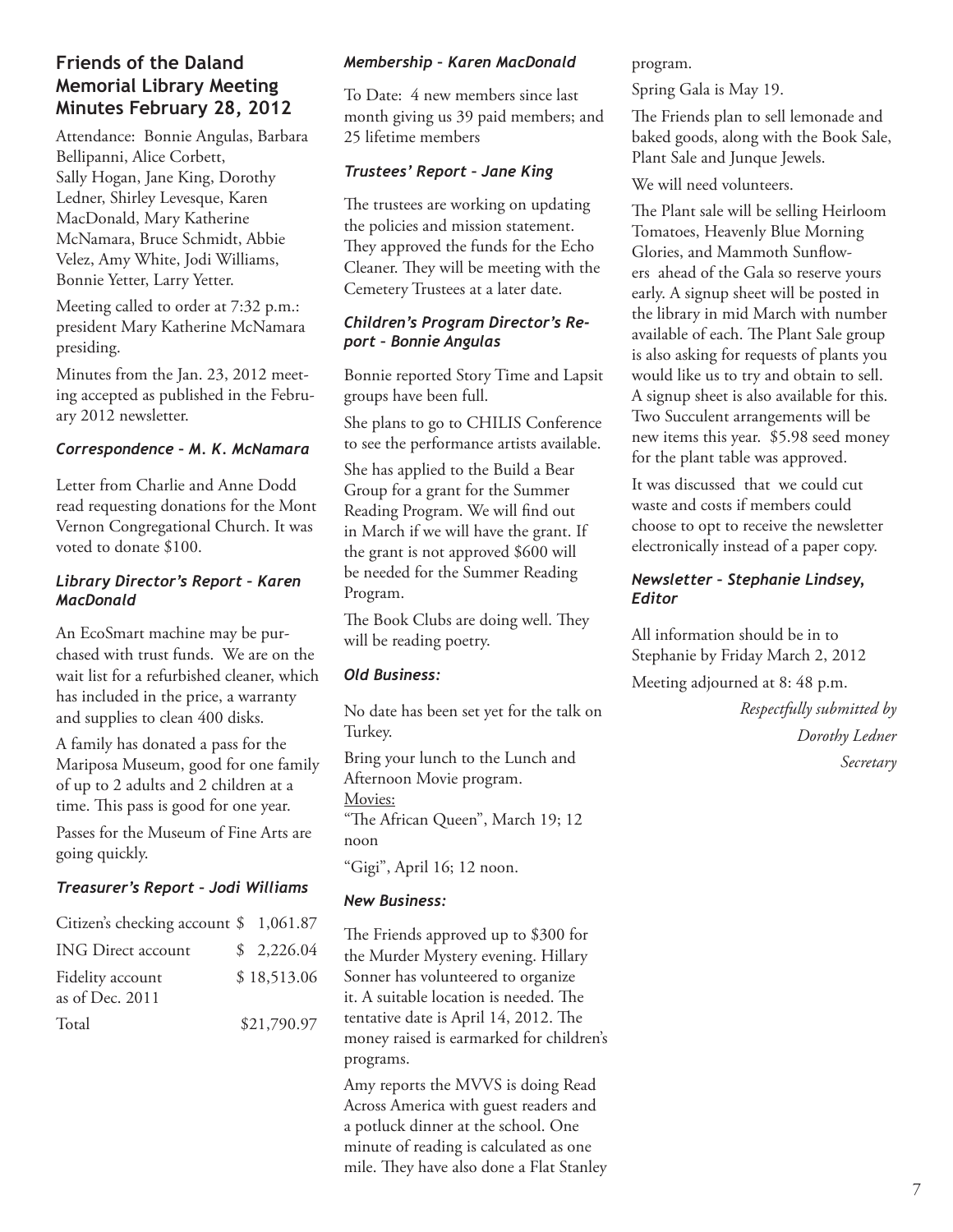#### **Friends of the Daland Memorial Library Meeting Minutes February 28, 2012**

Attendance: Bonnie Angulas, Barbara Bellipanni, Alice Corbett, Sally Hogan, Jane King, Dorothy Ledner, Shirley Levesque, Karen MacDonald, Mary Katherine McNamara, Bruce Schmidt, Abbie Velez, Amy White, Jodi Williams, Bonnie Yetter, Larry Yetter.

Meeting called to order at 7:32 p.m.: president Mary Katherine McNamara presiding.

Minutes from the Jan. 23, 2012 meeting accepted as published in the February 2012 newsletter.

#### *Correspondence – M. K. McNamara*

Letter from Charlie and Anne Dodd read requesting donations for the Mont Vernon Congregational Church. It was voted to donate \$100.

#### *Library Director's Report – Karen MacDonald*

An EcoSmart machine may be purchased with trust funds. We are on the wait list for a refurbished cleaner, which has included in the price, a warranty and supplies to clean 400 disks.

A family has donated a pass for the Mariposa Museum, good for one family of up to 2 adults and 2 children at a time. This pass is good for one year.

Passes for the Museum of Fine Arts are going quickly.

#### *Treasurer's Report – Jodi Williams*

| Citizen's checking account $\frac{1}{2}$ 1,061.87 |             |
|---------------------------------------------------|-------------|
| <b>ING Direct account</b>                         | \$2,226.04  |
| Fidelity account<br>as of Dec. 2011               | \$18,513.06 |
| Total                                             | \$21,790.97 |

#### *Membership – Karen MacDonald*

To Date: 4 new members since last month giving us 39 paid members; and 25 lifetime members

#### *Trustees' Report – Jane King*

The trustees are working on updating the policies and mission statement. They approved the funds for the Echo Cleaner. They will be meeting with the Cemetery Trustees at a later date.

#### *Children's Program Director's Report – Bonnie Angulas*

Bonnie reported Story Time and Lapsit groups have been full.

She plans to go to CHILIS Conference to see the performance artists available.

She has applied to the Build a Bear Group for a grant for the Summer Reading Program. We will find out in March if we will have the grant. If the grant is not approved \$600 will be needed for the Summer Reading Program.

The Book Clubs are doing well. They will be reading poetry.

#### *Old Business:*

No date has been set yet for the talk on Turkey.

Bring your lunch to the Lunch and Afternoon Movie program. Movies:

"The African Queen", March 19; 12 noon

"Gigi", April 16; 12 noon.

#### *New Business:*

The Friends approved up to \$300 for the Murder Mystery evening. Hillary Sonner has volunteered to organize it. A suitable location is needed. The tentative date is April 14, 2012. The money raised is earmarked for children's programs.

Amy reports the MVVS is doing Read Across America with guest readers and a potluck dinner at the school. One minute of reading is calculated as one mile. They have also done a Flat Stanley program.

Spring Gala is May 19.

The Friends plan to sell lemonade and baked goods, along with the Book Sale, Plant Sale and Junque Jewels.

We will need volunteers.

The Plant sale will be selling Heirloom Tomatoes, Heavenly Blue Morning Glories, and Mammoth Sunflowers ahead of the Gala so reserve yours early. A signup sheet will be posted in the library in mid March with number available of each. The Plant Sale group is also asking for requests of plants you would like us to try and obtain to sell. A signup sheet is also available for this. Two Succulent arrangements will be new items this year. \$5.98 seed money for the plant table was approved.

It was discussed that we could cut waste and costs if members could choose to opt to receive the newsletter electronically instead of a paper copy.

#### *Newsletter – Stephanie Lindsey, Editor*

All information should be in to Stephanie by Friday March 2, 2012

Meeting adjourned at 8: 48 p.m.

*Respectfully submitted by Dorothy Ledner Secretary*